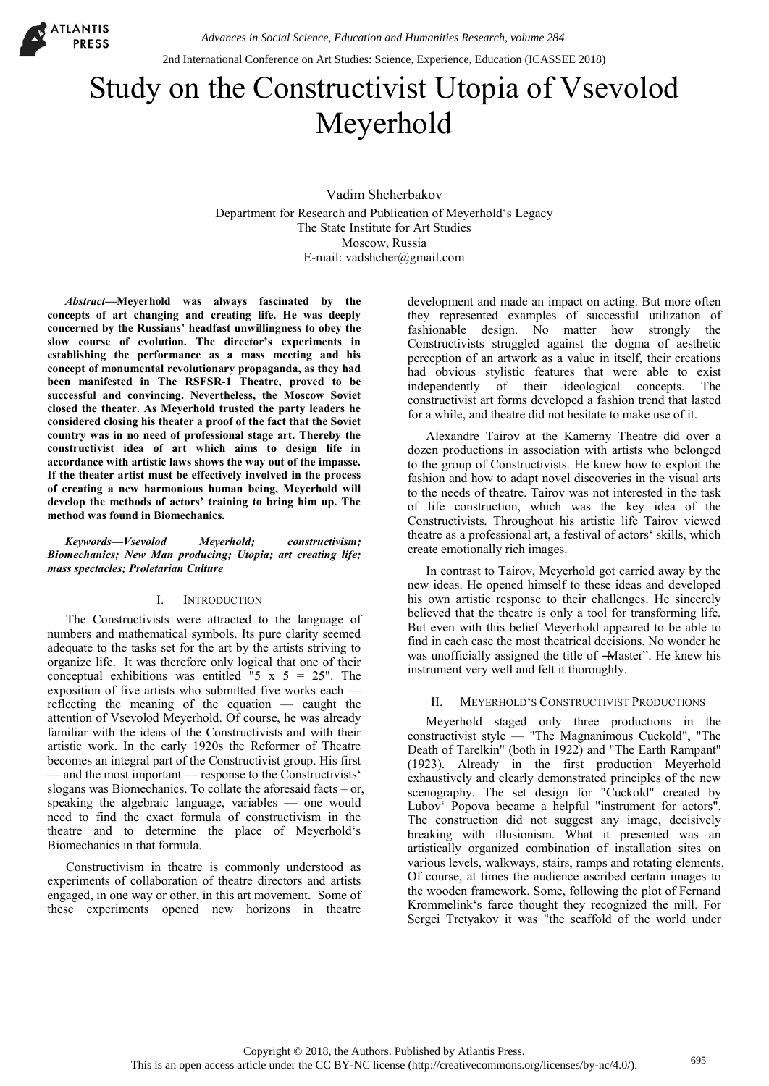

2nd International Conference on Art Studies: Science, Experience, Education (ICASSEE 2018)

# Study on the Constructivist Utopia of Vsevolod Meyerhold

Vadim Shcherbakov Department for Research and Publication of Meyerhold's Legacy The State Institute for Art Studies Moscow, Russia E-mail: vadshcher@gmail.com

*Abstract***—Meyerhold was always fascinated by the concepts of art changing and creating life. He was deeply concerned by the Russians' headfast unwillingness to obey the slow course of evolution. The director's experiments in establishing the performance as a mass meeting and his concept of monumental revolutionary propaganda, as they had been manifested in The RSFSR-1 Theatre, proved to be successful and convincing. Nevertheless, the Moscow Soviet closed the theater. As Meyerhold trusted the party leaders he considered closing his theater a proof of the fact that the Soviet country was in no need of professional stage art. Thereby the constructivist idea of art which aims to design life in accordance with artistic laws shows the way out of the impasse. If the theater artist must be effectively involved in the process of creating a new harmonious human being, Meyerhold will develop the methods of actors' training to bring him up. The method was found in Biomechanics.** 

*Keywords—Vsevolod Meyerhold; constructivism; Biomechanics; New Man producing; Utopia; art creating life; mass spectacles; Proletarian Culture* 

## I. INTRODUCTION

The Constructivists were attracted to the language of numbers and mathematical symbols. Its pure clarity seemed adequate to the tasks set for the art by the artists striving to organize life. It was therefore only logical that one of their conceptual exhibitions was entitled "5  $x$  5 = 25". The exposition of five artists who submitted five works each reflecting the meaning of the equation — caught the attention of Vsevolod Meyerhold. Of course, he was already familiar with the ideas of the Constructivists and with their artistic work. In the early 1920s the Reformer of Theatre becomes an integral part of the Constructivist group. His first — and the most important — response to the Constructivists' slogans was Biomechanics. To collate the aforesaid facts – or, speaking the algebraic language, variables — one would need to find the exact formula of constructivism in the theatre and to determine the place of Meyerhold's Biomechanics in that formula.

Constructivism in theatre is commonly understood as experiments of collaboration of theatre directors and artists engaged, in one way or other, in this art movement. Some of these experiments opened new horizons in theatre

development and made an impact on acting. But more often they represented examples of successful utilization of fashionable design. No matter how strongly the Constructivists struggled against the dogma of aesthetic perception of an artwork as a value in itself, their creations had obvious stylistic features that were able to exist independently of their ideological concepts. The constructivist art forms developed a fashion trend that lasted for a while, and theatre did not hesitate to make use of it.

Alexandre Tairov at the Kamerny Theatre did over a dozen productions in association with artists who belonged to the group of Constructivists. He knew how to exploit the fashion and how to adapt novel discoveries in the visual arts to the needs of theatre. Tairov was not interested in the task of life construction, which was the key idea of the Constructivists. Throughout his artistic life Tairov viewed theatre as a professional art, a festival of actors' skills, which create emotionally rich images.

In contrast to Tairov, Meyerhold got carried away by the new ideas. He opened himself to these ideas and developed his own artistic response to their challenges. He sincerely believed that the theatre is only a tool for transforming life. But even with this belief Meyerhold appeared to be able to find in each case the most theatrical decisions. No wonder he was unofficially assigned the title of -Master". He knew his instrument very well and felt it thoroughly.

# II. MEYERHOLD'S CONSTRUCTIVIST PRODUCTIONS

Meyerhold staged only three productions in the constructivist style — "The Magnanimous Cuckold", "The Death of Tarelkin" (both in 1922) and "The Earth Rampant" (1923). Already in the first production Meyerhold exhaustively and clearly demonstrated principles of the new scenography. The set design for "Cuckold" created by Lubov' Popova became a helpful "instrument for actors". The construction did not suggest any image, decisively breaking with illusionism. What it presented was an artistically organized combination of installation sites on various levels, walkways, stairs, ramps and rotating elements. Of course, at times the audience ascribed certain images to the wooden framework. Some, following the plot of Fernand Krommelink's farce thought they recognized the mill. For Sergei Tretyakov it was "the scaffold of the world under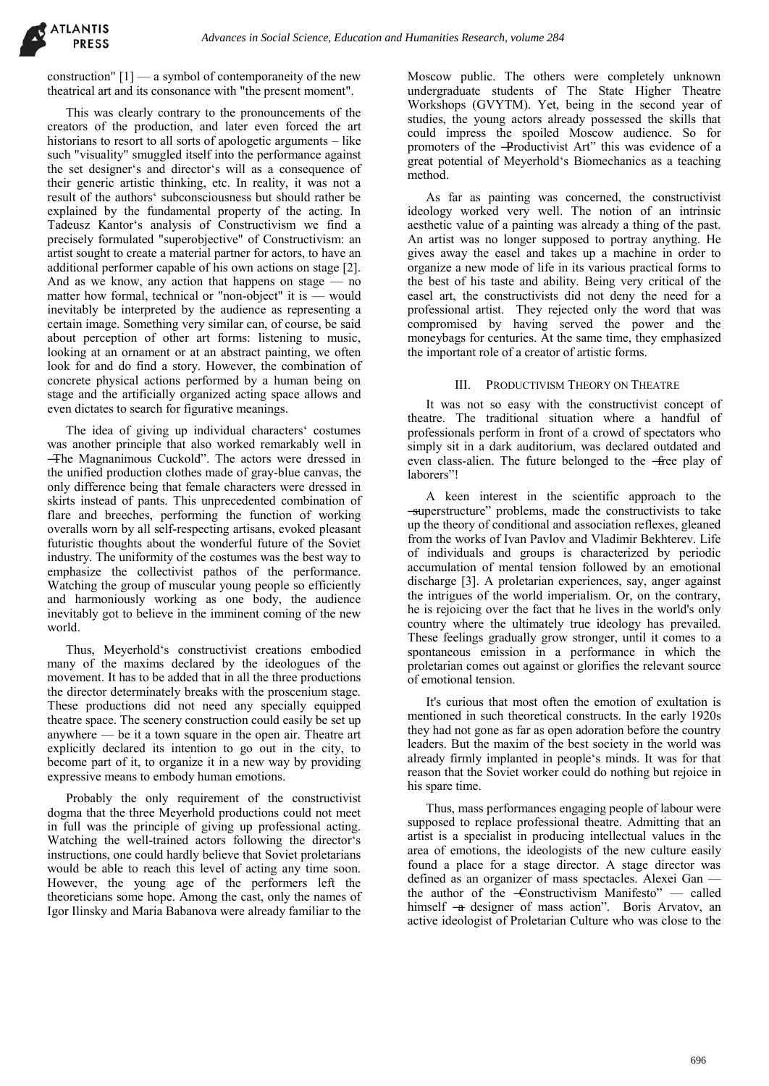construction"  $[1]$  — a symbol of contemporaneity of the new theatrical art and its consonance with "the present moment".

This was clearly contrary to the pronouncements of the creators of the production, and later even forced the art historians to resort to all sorts of apologetic arguments – like such "visuality" smuggled itself into the performance against the set designer's and director's will as a consequence of their generic artistic thinking, etc. In reality, it was not a result of the authors' subconsciousness but should rather be explained by the fundamental property of the acting. In Tadeusz Kantor's analysis of Constructivism we find a precisely formulated "superobjective" of Constructivism: an artist sought to create a material partner for actors, to have an additional performer capable of his own actions on stage [2]. And as we know, any action that happens on stage  $-$  no matter how formal, technical or "non-object" it is — would inevitably be interpreted by the audience as representing a certain image. Something very similar can, of course, be said about perception of other art forms: listening to music, looking at an ornament or at an abstract painting, we often look for and do find a story. However, the combination of concrete physical actions performed by a human being on stage and the artificially organized acting space allows and even dictates to search for figurative meanings.

The idea of giving up individual characters' costumes was another principle that also worked remarkably well in -The Magnanimous Cuckold". The actors were dressed in the unified production clothes made of gray-blue canvas, the only difference being that female characters were dressed in skirts instead of pants. This unprecedented combination of flare and breeches, performing the function of working overalls worn by all self-respecting artisans, evoked pleasant futuristic thoughts about the wonderful future of the Soviet industry. The uniformity of the costumes was the best way to emphasize the collectivist pathos of the performance. Watching the group of muscular young people so efficiently and harmoniously working as one body, the audience inevitably got to believe in the imminent coming of the new world.

Thus, Meyerhold's constructivist creations embodied many of the maxims declared by the ideologues of the movement. It has to be added that in all the three productions the director determinately breaks with the proscenium stage. These productions did not need any specially equipped theatre space. The scenery construction could easily be set up anywhere — be it a town square in the open air. Theatre art explicitly declared its intention to go out in the city, to become part of it, to organize it in a new way by providing expressive means to embody human emotions.

Probably the only requirement of the constructivist dogma that the three Meyerhold productions could not meet in full was the principle of giving up professional acting. Watching the well-trained actors following the director's instructions, one could hardly believe that Soviet proletarians would be able to reach this level of acting any time soon. However, the young age of the performers left the theoreticians some hope. Among the cast, only the names of Igor Ilinsky and Maria Babanova were already familiar to the

Moscow public. The others were completely unknown undergraduate students of The State Higher Theatre Workshops (GVYTM). Yet, being in the second year of studies, the young actors already possessed the skills that could impress the spoiled Moscow audience. So for promoters of the -Productivist Art" this was evidence of a great potential of Meyerhold's Biomechanics as a teaching method.

As far as painting was concerned, the constructivist ideology worked very well. The notion of an intrinsic aesthetic value of a painting was already a thing of the past. An artist was no longer supposed to portray anything. He gives away the easel and takes up a machine in order to organize a new mode of life in its various practical forms to the best of his taste and ability. Being very critical of the easel art, the constructivists did not deny the need for a professional artist. They rejected only the word that was compromised by having served the power and the moneybags for centuries. At the same time, they emphasized the important role of a creator of artistic forms.

### III. PRODUCTIVISM THEORY ON THEATRE

It was not so easy with the constructivist concept of theatre. The traditional situation where a handful of professionals perform in front of a crowd of spectators who simply sit in a dark auditorium, was declared outdated and even class-alien. The future belonged to the -free play of laborers"!

A keen interest in the scientific approach to the ―superstructure‖ problems, made the constructivists to take up the theory of conditional and association reflexes, gleaned from the works of Ivan Pavlov and Vladimir Bekhterev. Life of individuals and groups is characterized by periodic accumulation of mental tension followed by an emotional discharge [3]. A proletarian experiences, say, anger against the intrigues of the world imperialism. Or, on the contrary, he is rejoicing over the fact that he lives in the world's only country where the ultimately true ideology has prevailed. These feelings gradually grow stronger, until it comes to a spontaneous emission in a performance in which the proletarian comes out against or glorifies the relevant source of emotional tension.

It's curious that most often the emotion of exultation is mentioned in such theoretical constructs. In the early 1920s they had not gone as far as open adoration before the country leaders. But the maxim of the best society in the world was already firmly implanted in people's minds. It was for that reason that the Soviet worker could do nothing but rejoice in his spare time.

Thus, mass performances engaging people of labour were supposed to replace professional theatre. Admitting that an artist is a specialist in producing intellectual values in the area of emotions, the ideologists of the new culture easily found a place for a stage director. A stage director was defined as an organizer of mass spectacles. Alexei Gan the author of the  $\epsilon$  constructivism Manifesto"  $\epsilon$  called himself -a designer of mass action". Boris Arvatov, an active ideologist of Proletarian Culture who was close to the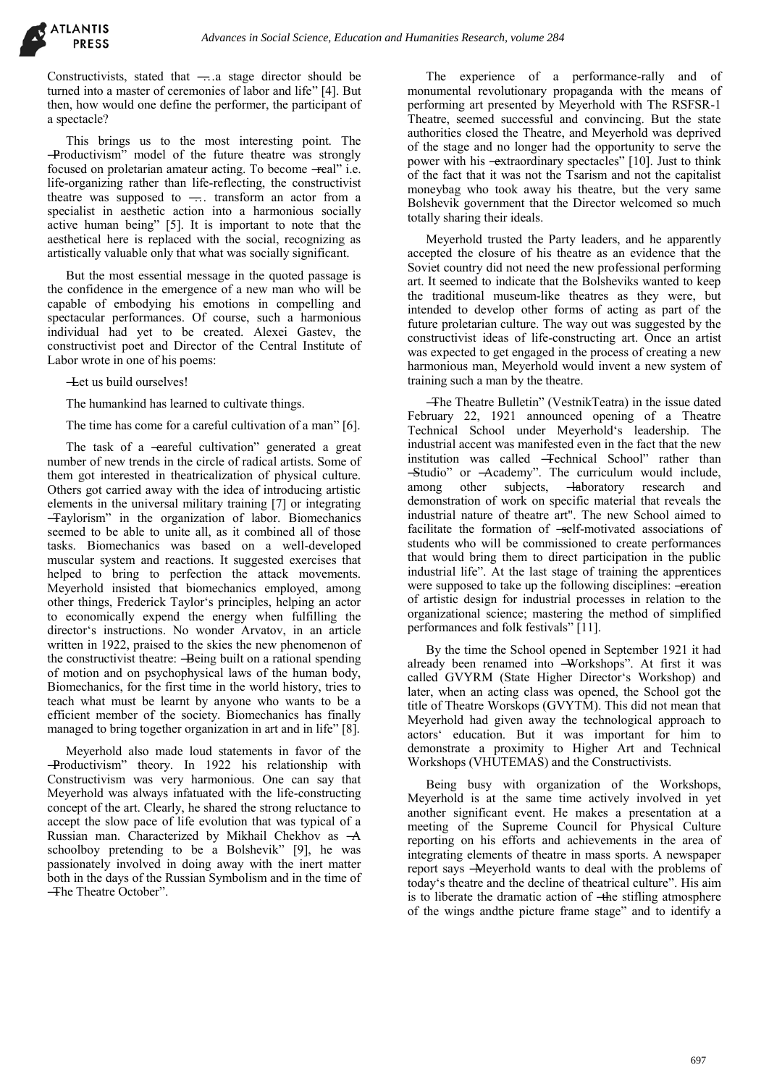Constructivists, stated that ―…a stage director should be turned into a master of ceremonies of labor and life" [4]. But then, how would one define the performer, the participant of a spectacle?

This brings us to the most interesting point. The ―Productivism‖ model of the future theatre was strongly focused on proletarian amateur acting. To become -real" i.e. life-organizing rather than life-reflecting, the constructivist theatre was supposed to ―… transform an actor from a specialist in aesthetic action into a harmonious socially active human being" [5]. It is important to note that the aesthetical here is replaced with the social, recognizing as artistically valuable only that what was socially significant.

But the most essential message in the quoted passage is the confidence in the emergence of a new man who will be capable of embodying his emotions in compelling and spectacular performances. Of course, such a harmonious individual had yet to be created. Alexei Gastev, the constructivist poet and Director of the Central Institute of Labor wrote in one of his poems:

―Let us build ourselves!

The humankind has learned to cultivate things.

The time has come for a careful cultivation of a man" [6].

The task of a -eareful cultivation" generated a great number of new trends in the circle of radical artists. Some of them got interested in theatricalization of physical culture. Others got carried away with the idea of introducing artistic elements in the universal military training [7] or integrating ―Taylorism‖ in the organization of labor. Biomechanics seemed to be able to unite all, as it combined all of those tasks. Biomechanics was based on a well-developed muscular system and reactions. It suggested exercises that helped to bring to perfection the attack movements. Meyerhold insisted that biomechanics employed, among other things, Frederick Taylor's principles, helping an actor to economically expend the energy when fulfilling the director's instructions. No wonder Arvatov, in an article written in 1922, praised to the skies the new phenomenon of the constructivist theatre: - Being built on a rational spending of motion and on psychophysical laws of the human body, Biomechanics, for the first time in the world history, tries to teach what must be learnt by anyone who wants to be a efficient member of the society. Biomechanics has finally managed to bring together organization in art and in life" [8].

Meyerhold also made loud statements in favor of the -Productivism" theory. In 1922 his relationship with Constructivism was very harmonious. One can say that Meyerhold was always infatuated with the life-constructing concept of the art. Clearly, he shared the strong reluctance to accept the slow pace of life evolution that was typical of a Russian man. Characterized by Mikhail Chekhov as ―A schoolboy pretending to be a Bolshevik" [9], he was passionately involved in doing away with the inert matter both in the days of the Russian Symbolism and in the time of -The Theatre October".

The experience of a performance-rally and of monumental revolutionary propaganda with the means of performing art presented by Meyerhold with The RSFSR-1 Theatre, seemed successful and convincing. But the state authorities closed the Theatre, and Meyerhold was deprived of the stage and no longer had the opportunity to serve the power with his -extraordinary spectacles" [10]. Just to think of the fact that it was not the Tsarism and not the capitalist moneybag who took away his theatre, but the very same Bolshevik government that the Director welcomed so much totally sharing their ideals.

Meyerhold trusted the Party leaders, and he apparently accepted the closure of his theatre as an evidence that the Soviet country did not need the new professional performing art. It seemed to indicate that the Bolsheviks wanted to keep the traditional museum-like theatres as they were, but intended to develop other forms of acting as part of the future proletarian culture. The way out was suggested by the constructivist ideas of life-constructing art. Once an artist was expected to get engaged in the process of creating a new harmonious man, Meyerhold would invent a new system of training such a man by the theatre.

―The Theatre Bulletin‖ (VestnikTeatra) in the issue dated February 22, 1921 announced opening of a Theatre Technical School under Meyerhold's leadership. The industrial accent was manifested even in the fact that the new institution was called -Technical School" rather than -Studio" or -Academy". The curriculum would include, among other subjects, -laboratory research and demonstration of work on specific material that reveals the industrial nature of theatre art". The new School aimed to facilitate the formation of -self-motivated associations of students who will be commissioned to create performances that would bring them to direct participation in the public industrial life". At the last stage of training the apprentices were supposed to take up the following disciplines: - ereation of artistic design for industrial processes in relation to the organizational science; mastering the method of simplified performances and folk festivals"  $\overline{[11]}$ .

By the time the School opened in September 1921 it had already been renamed into -Workshops". At first it was called GVYRM (State Higher Director's Workshop) and later, when an acting class was opened, the School got the title of Theatre Worskops (GVYTM). This did not mean that Meyerhold had given away the technological approach to actors' education. But it was important for him to demonstrate a proximity to Higher Art and Technical Workshops (VHUTEMAS) and the Constructivists.

Being busy with organization of the Workshops, Meyerhold is at the same time actively involved in yet another significant event. He makes a presentation at a meeting of the Supreme Council for Physical Culture reporting on his efforts and achievements in the area of integrating elements of theatre in mass sports. A newspaper report says ―Meyerhold wants to deal with the problems of today's theatre and the decline of theatrical culture". His aim is to liberate the dramatic action of —the stifling atmosphere of the wings andthe picture frame stage" and to identify a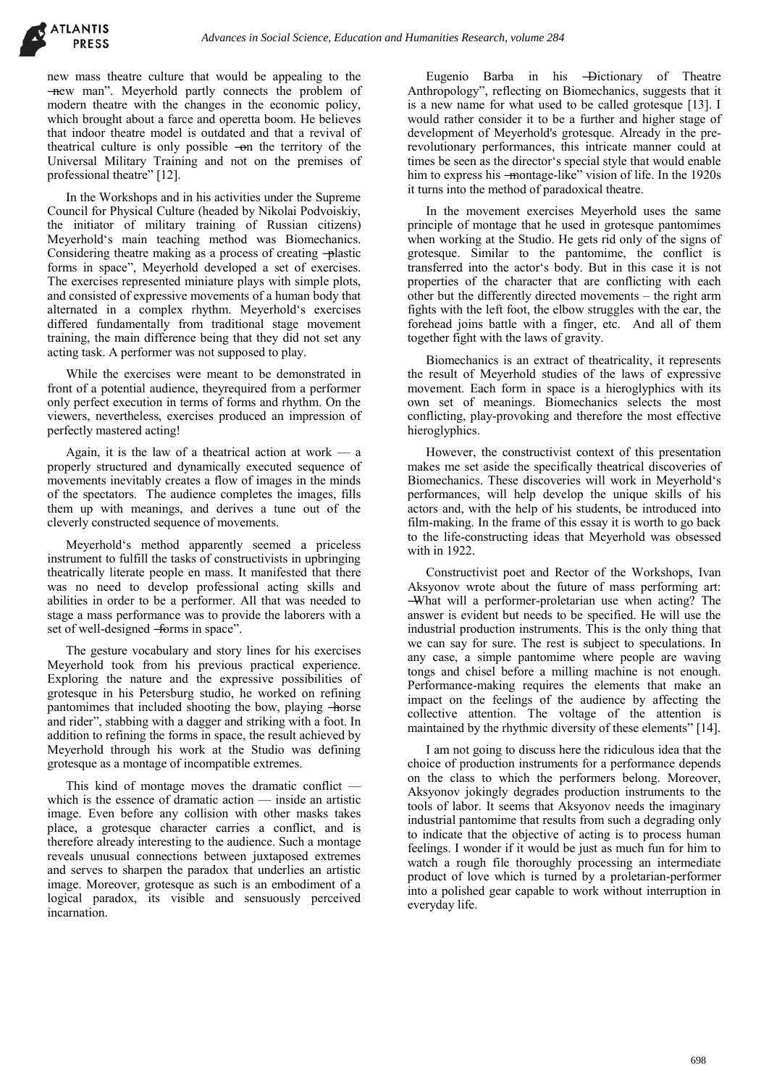new mass theatre culture that would be appealing to the -new man". Meyerhold partly connects the problem of modern theatre with the changes in the economic policy, which brought about a farce and operetta boom. He believes that indoor theatre model is outdated and that a revival of theatrical culture is only possible -on the territory of the Universal Military Training and not on the premises of professional theatre" [12].

In the Workshops and in his activities under the Supreme Council for Physical Culture (headed by Nikolai Podvoiskiy, the initiator of military training of Russian citizens) Meyerhold's main teaching method was Biomechanics. Considering theatre making as a process of creating -plastic forms in space", Meyerhold developed a set of exercises. The exercises represented miniature plays with simple plots, and consisted of expressive movements of a human body that alternated in a complex rhythm. Meyerhold's exercises differed fundamentally from traditional stage movement training, the main difference being that they did not set any acting task. A performer was not supposed to play.

While the exercises were meant to be demonstrated in front of a potential audience, theyrequired from a performer only perfect execution in terms of forms and rhythm. On the viewers, nevertheless, exercises produced an impression of perfectly mastered acting!

Again, it is the law of a theatrical action at work  $-$  a properly structured and dynamically executed sequence of movements inevitably creates a flow of images in the minds of the spectators. The audience completes the images, fills them up with meanings, and derives a tune out of the cleverly constructed sequence of movements.

Meyerhold's method apparently seemed a priceless instrument to fulfill the tasks of constructivists in upbringing theatrically literate people en mass. It manifested that there was no need to develop professional acting skills and abilities in order to be a performer. All that was needed to stage a mass performance was to provide the laborers with a set of well-designed -forms in space".

The gesture vocabulary and story lines for his exercises Meyerhold took from his previous practical experience. Exploring the nature and the expressive possibilities of grotesque in his Petersburg studio, he worked on refining pantomimes that included shooting the bow, playing -horse and rider", stabbing with a dagger and striking with a foot. In addition to refining the forms in space, the result achieved by Meyerhold through his work at the Studio was defining grotesque as a montage of incompatible extremes.

This kind of montage moves the dramatic conflict which is the essence of dramatic action — inside an artistic image. Even before any collision with other masks takes place, a grotesque character carries a conflict, and is therefore already interesting to the audience. Such a montage reveals unusual connections between juxtaposed extremes and serves to sharpen the paradox that underlies an artistic image. Moreover, grotesque as such is an embodiment of a logical paradox, its visible and sensuously perceived incarnation.

Eugenio Barba in his ―Dictionary of Theatre Anthropology", reflecting on Biomechanics, suggests that it is a new name for what used to be called grotesque [13]. I would rather consider it to be a further and higher stage of development of Meyerhold's grotesque. Already in the prerevolutionary performances, this intricate manner could at times be seen as the director's special style that would enable him to express his -montage-like" vision of life. In the 1920s it turns into the method of paradoxical theatre.

In the movement exercises Meyerhold uses the same principle of montage that he used in grotesque pantomimes when working at the Studio. He gets rid only of the signs of grotesque. Similar to the pantomime, the conflict is transferred into the actor's body. But in this case it is not properties of the character that are conflicting with each other but the differently directed movements – the right arm fights with the left foot, the elbow struggles with the ear, the forehead joins battle with a finger, etc. And all of them together fight with the laws of gravity.

Biomechanics is an extract of theatricality, it represents the result of Meyerhold studies of the laws of expressive movement. Each form in space is a hieroglyphics with its own set of meanings. Biomechanics selects the most conflicting, play-provoking and therefore the most effective hieroglyphics.

However, the constructivist context of this presentation makes me set aside the specifically theatrical discoveries of Biomechanics. These discoveries will work in Meyerhold's performances, will help develop the unique skills of his actors and, with the help of his students, be introduced into film-making. In the frame of this essay it is worth to go back to the life-constructing ideas that Meyerhold was obsessed with in 1922.

Constructivist poet and Rector of the Workshops, Ivan Aksyonov wrote about the future of mass performing art: ―What will a performer-proletarian use when acting? The answer is evident but needs to be specified. He will use the industrial production instruments. This is the only thing that we can say for sure. The rest is subject to speculations. In any case, a simple pantomime where people are waving tongs and chisel before a milling machine is not enough. Performance-making requires the elements that make an impact on the feelings of the audience by affecting the collective attention. The voltage of the attention is maintained by the rhythmic diversity of these elements" [14].

I am not going to discuss here the ridiculous idea that the choice of production instruments for a performance depends on the class to which the performers belong. Moreover, Aksyonov jokingly degrades production instruments to the tools of labor. It seems that Aksyonov needs the imaginary industrial pantomime that results from such a degrading only to indicate that the objective of acting is to process human feelings. I wonder if it would be just as much fun for him to watch a rough file thoroughly processing an intermediate product of love which is turned by a proletarian-performer into a polished gear capable to work without interruption in everyday life.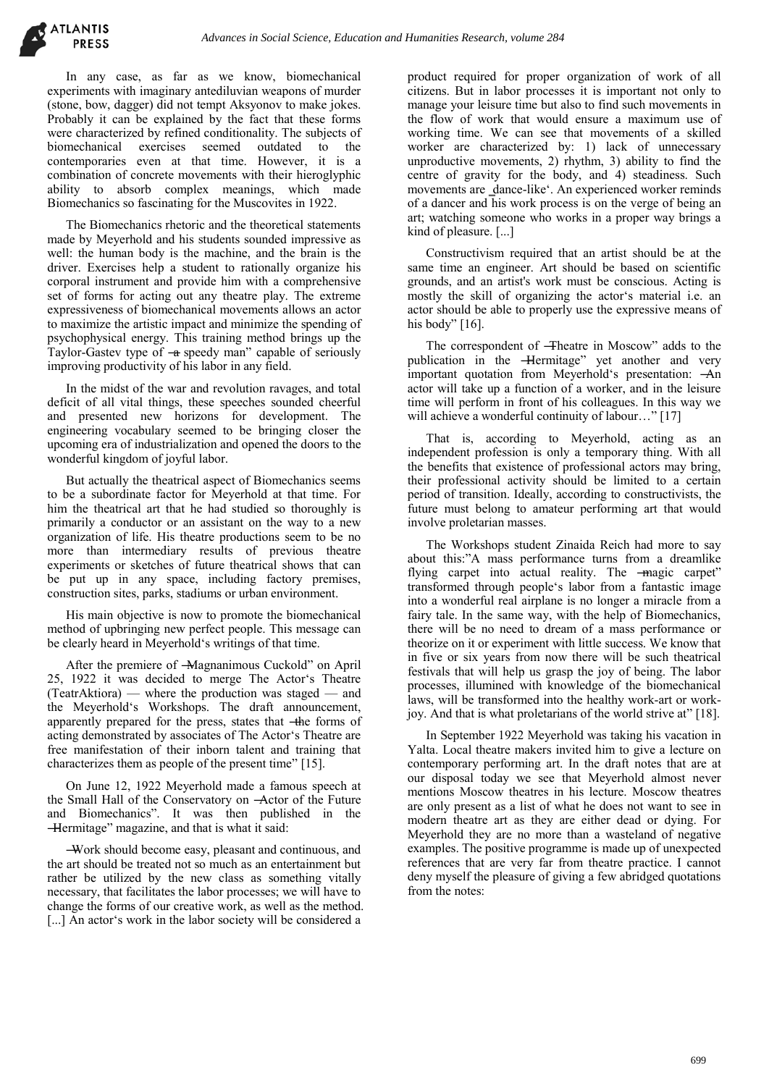In any case, as far as we know, biomechanical experiments with imaginary antediluvian weapons of murder (stone, bow, dagger) did not tempt Aksyonov to make jokes. Probably it can be explained by the fact that these forms were characterized by refined conditionality. The subjects of<br>biomechanical exercises seemed outdated to the biomechanical exercises seemed outdated to contemporaries even at that time. However, it is a combination of concrete movements with their hieroglyphic ability to absorb complex meanings, which made Biomechanics so fascinating for the Muscovites in 1922.

The Biomechanics rhetoric and the theoretical statements made by Meyerhold and his students sounded impressive as well: the human body is the machine, and the brain is the driver. Exercises help a student to rationally organize his corporal instrument and provide him with a comprehensive set of forms for acting out any theatre play. The extreme expressiveness of biomechanical movements allows an actor to maximize the artistic impact and minimize the spending of psychophysical energy. This training method brings up the Taylor-Gastev type of  $-\alpha$  speedy man" capable of seriously improving productivity of his labor in any field.

In the midst of the war and revolution ravages, and total deficit of all vital things, these speeches sounded cheerful and presented new horizons for development. The engineering vocabulary seemed to be bringing closer the upcoming era of industrialization and opened the doors to the wonderful kingdom of joyful labor.

But actually the theatrical aspect of Biomechanics seems to be a subordinate factor for Meyerhold at that time. For him the theatrical art that he had studied so thoroughly is primarily a conductor or an assistant on the way to a new organization of life. His theatre productions seem to be no more than intermediary results of previous theatre experiments or sketches of future theatrical shows that can be put up in any space, including factory premises, construction sites, parks, stadiums or urban environment.

His main objective is now to promote the biomechanical method of upbringing new perfect people. This message can be clearly heard in Meyerhold's writings of that time.

After the premiere of -Magnanimous Cuckold" on April 25, 1922 it was decided to merge The Actor's Theatre (TeatrAktiora) — where the production was staged — and the Meyerhold's Workshops. The draft announcement, apparently prepared for the press, states that -the forms of acting demonstrated by associates of The Actor's Theatre are free manifestation of their inborn talent and training that characterizes them as people of the present time" [15].

On June 12, 1922 Meyerhold made a famous speech at the Small Hall of the Conservatory on ―Actor of the Future and Biomechanics". It was then published in the ―Hermitage‖ magazine, and that is what it said:

―Work should become easy, pleasant and continuous, and the art should be treated not so much as an entertainment but rather be utilized by the new class as something vitally necessary, that facilitates the labor processes; we will have to change the forms of our creative work, as well as the method. [...] An actor's work in the labor society will be considered a

product required for proper organization of work of all citizens. But in labor processes it is important not only to manage your leisure time but also to find such movements in the flow of work that would ensure a maximum use of working time. We can see that movements of a skilled worker are characterized by: 1) lack of unnecessary unproductive movements, 2) rhythm, 3) ability to find the centre of gravity for the body, and 4) steadiness. Such movements are ‗dance-like'. An experienced worker reminds of a dancer and his work process is on the verge of being an art; watching someone who works in a proper way brings a kind of pleasure. [...]

Constructivism required that an artist should be at the same time an engineer. Art should be based on scientific grounds, and an artist's work must be conscious. Acting is mostly the skill of organizing the actor's material i.e. an actor should be able to properly use the expressive means of his body"  $[16]$ .

The correspondent of -Theatre in Moscow" adds to the publication in the **Hermitage**" yet another and very important quotation from Meyerhold's presentation: ―An actor will take up a function of a worker, and in the leisure time will perform in front of his colleagues. In this way we will achieve a wonderful continuity of labour..." [17]

That is, according to Meyerhold, acting as an independent profession is only a temporary thing. With all the benefits that existence of professional actors may bring, their professional activity should be limited to a certain period of transition. Ideally, according to constructivists, the future must belong to amateur performing art that would involve proletarian masses.

The Workshops student Zinaida Reich had more to say about this:"A mass performance turns from a dreamlike flying carpet into actual reality. The -magic carpet" transformed through people's labor from a fantastic image into a wonderful real airplane is no longer a miracle from a fairy tale. In the same way, with the help of Biomechanics, there will be no need to dream of a mass performance or theorize on it or experiment with little success. We know that in five or six years from now there will be such theatrical festivals that will help us grasp the joy of being. The labor processes, illumined with knowledge of the biomechanical laws, will be transformed into the healthy work-art or workjoy. And that is what proletarians of the world strive at" [18].

In September 1922 Meyerhold was taking his vacation in Yalta. Local theatre makers invited him to give a lecture on contemporary performing art. In the draft notes that are at our disposal today we see that Meyerhold almost never mentions Moscow theatres in his lecture. Moscow theatres are only present as a list of what he does not want to see in modern theatre art as they are either dead or dying. For Meyerhold they are no more than a wasteland of negative examples. The positive programme is made up of unexpected references that are very far from theatre practice. I cannot deny myself the pleasure of giving a few abridged quotations from the notes: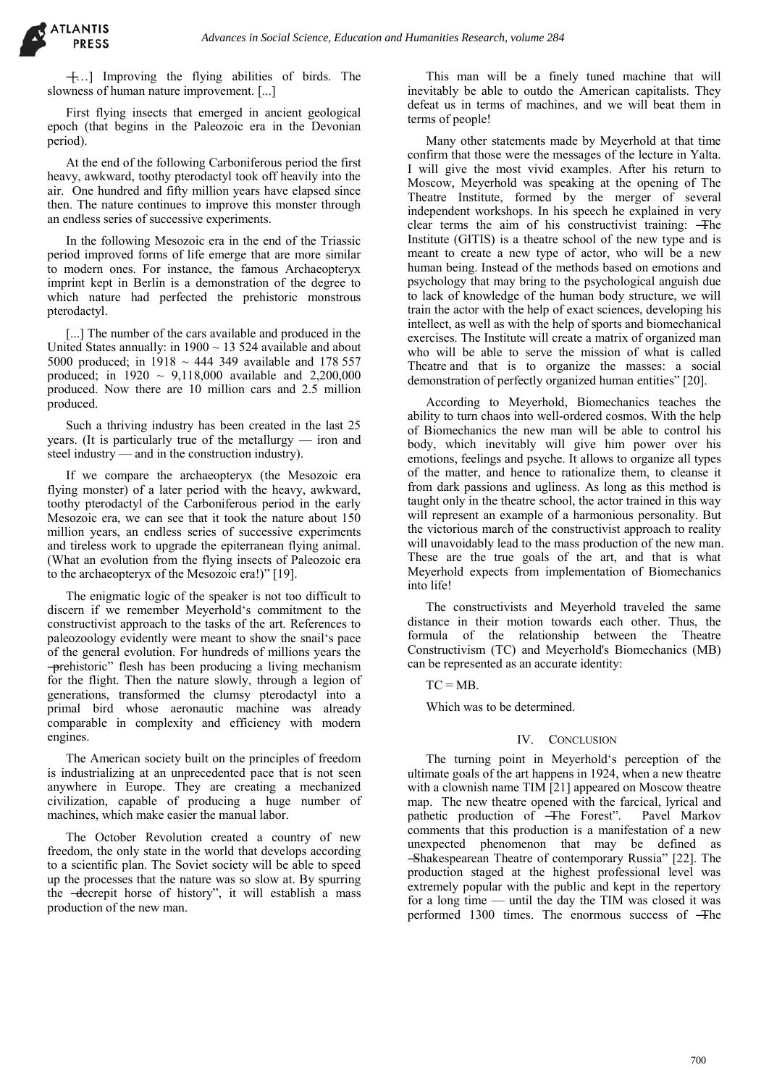**ATLANTIS** 

―[…] Improving the flying abilities of birds. The slowness of human nature improvement. [...]

First flying insects that emerged in ancient geological epoch (that begins in the Paleozoic era in the Devonian period).

At the end of the following Carboniferous period the first heavy, awkward, toothy pterodactyl took off heavily into the air. One hundred and fifty million years have elapsed since then. The nature continues to improve this monster through an endless series of successive experiments.

In the following Mesozoic era in the end of the Triassic period improved forms of life emerge that are more similar to modern ones. For instance, the famous Archaeopteryx imprint kept in Berlin is a demonstration of the degree to which nature had perfected the prehistoric monstrous pterodactyl.

[...] The number of the cars available and produced in the United States annually: in  $1900 \sim 13524$  available and about 5000 produced; in  $1918 \sim 444$  349 available and 178 557 produced; in  $1920 \sim 9,118,000$  available and  $2,200,000$ produced. Now there are 10 million cars and 2.5 million produced.

Such a thriving industry has been created in the last 25 years. (It is particularly true of the metallurgy — iron and steel industry — and in the construction industry).

If we compare the archaeopteryx (the Mesozoic era flying monster) of a later period with the heavy, awkward, toothy pterodactyl of the Carboniferous period in the early Mesozoic era, we can see that it took the nature about 150 million years, an endless series of successive experiments and tireless work to upgrade the epiterranean flying animal. (What an evolution from the flying insects of Paleozoic era to the archaeopteryx of the Mesozoic era!)" [19].

The enigmatic logic of the speaker is not too difficult to discern if we remember Meyerhold's commitment to the constructivist approach to the tasks of the art. References to paleozoology evidently were meant to show the snail's pace of the general evolution. For hundreds of millions years the ―prehistoric‖ flesh has been producing a living mechanism for the flight. Then the nature slowly, through a legion of generations, transformed the clumsy pterodactyl into a primal bird whose aeronautic machine was already comparable in complexity and efficiency with modern engines.

The American society built on the principles of freedom is industrializing at an unprecedented pace that is not seen anywhere in Europe. They are creating a mechanized civilization, capable of producing a huge number of machines, which make easier the manual labor.

The October Revolution created a country of new freedom, the only state in the world that develops according to a scientific plan. The Soviet society will be able to speed up the processes that the nature was so slow at. By spurring the -decrepit horse of history", it will establish a mass production of the new man.

This man will be a finely tuned machine that will inevitably be able to outdo the American capitalists. They defeat us in terms of machines, and we will beat them in terms of people!

Many other statements made by Meyerhold at that time confirm that those were the messages of the lecture in Yalta. I will give the most vivid examples. After his return to Moscow, Meyerhold was speaking at the opening of The Theatre Institute, formed by the merger of several independent workshops. In his speech he explained in very clear terms the aim of his constructivist training: ―The Institute (GITIS) is a theatre school of the new type and is meant to create a new type of actor, who will be a new human being. Instead of the methods based on emotions and psychology that may bring to the psychological anguish due to lack of knowledge of the human body structure, we will train the actor with the help of exact sciences, developing his intellect, as well as with the help of sports and biomechanical exercises. The Institute will create a matrix of organized man who will be able to serve the mission of what is called Theatre and that is to organize the masses: a social demonstration of perfectly organized human entities" [20].

According to Meyerhold, Biomechanics teaches the ability to turn chaos into well-ordered cosmos. With the help of Biomechanics the new man will be able to control his body, which inevitably will give him power over his emotions, feelings and psyche. It allows to organize all types of the matter, and hence to rationalize them, to cleanse it from dark passions and ugliness. As long as this method is taught only in the theatre school, the actor trained in this way will represent an example of a harmonious personality. But the victorious march of the constructivist approach to reality will unavoidably lead to the mass production of the new man. These are the true goals of the art, and that is what Meyerhold expects from implementation of Biomechanics into life!

The constructivists and Meyerhold traveled the same distance in their motion towards each other. Thus, the formula of the relationship between the Theatre Constructivism (TC) and Meyerhold's Biomechanics (MB) can be represented as an accurate identity:

 $TC = MB$ .

Which was to be determined.

# IV. CONCLUSION

The turning point in Meyerhold's perception of the ultimate goals of the art happens in 1924, when a new theatre with a clownish name TIM [21] appeared on Moscow theatre map. The new theatre opened with the farcical, lyrical and pathetic production of  $\overline{-}$  Fine Forest". Pavel Markov pathetic production of  $-$ The Forest". comments that this production is a manifestation of a new unexpected phenomenon that may be defined as ―Shakespearean Theatre of contemporary Russia‖ [22]. The production staged at the highest professional level was extremely popular with the public and kept in the repertory for a long time — until the day the TIM was closed it was performed 1300 times. The enormous success of ―The